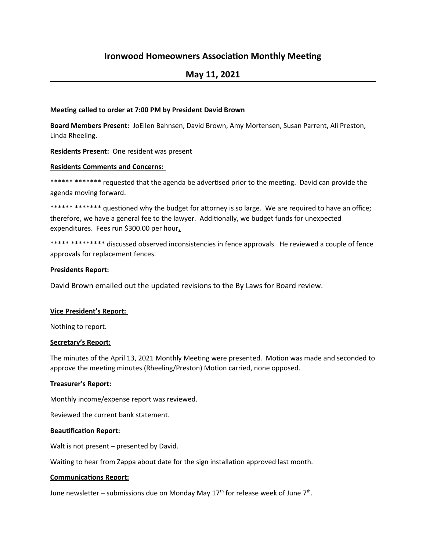# **Ironwood Homeowners Association Monthly Meeting**

# **May 11, 2021**

## **Meeting called to order at 7:00 PM by President David Brown**

**Board Members Present:** JoEllen Bahnsen, David Brown, Amy Mortensen, Susan Parrent, Ali Preston, Linda Rheeling.

**Residents Present:** One resident was present

## **Residents Comments and Concerns:**

\*\*\*\*\*\* \*\*\*\*\*\* requested that the agenda be advertised prior to the meeting. David can provide the agenda moving forward.

\*\*\*\*\*\* \*\*\*\*\*\*\* questioned why the budget for attorney is so large. We are required to have an office; therefore, we have a general fee to the lawyer. Additionally, we budget funds for unexpected expenditures. Fees run \$300.00 per hour**.**

\*\*\*\*\* \*\*\*\*\*\*\*\*\* discussed observed inconsistencies in fence approvals. He reviewed a couple of fence approvals for replacement fences.

## **Presidents Report:**

David Brown emailed out the updated revisions to the By Laws for Board review.

# **Vice President's Report:**

Nothing to report.

#### **Secretary's Report:**

The minutes of the April 13, 2021 Monthly Meeting were presented. Motion was made and seconded to approve the meeting minutes (Rheeling/Preston) Motion carried, none opposed.

#### **Treasurer's Report:**

Monthly income/expense report was reviewed.

Reviewed the current bank statement.

#### **Beautification Report:**

Walt is not present – presented by David.

Waiting to hear from Zappa about date for the sign installation approved last month.

#### **Communications Report:**

June newsletter – submissions due on Monday May 17<sup>th</sup> for release week of June 7<sup>th</sup>.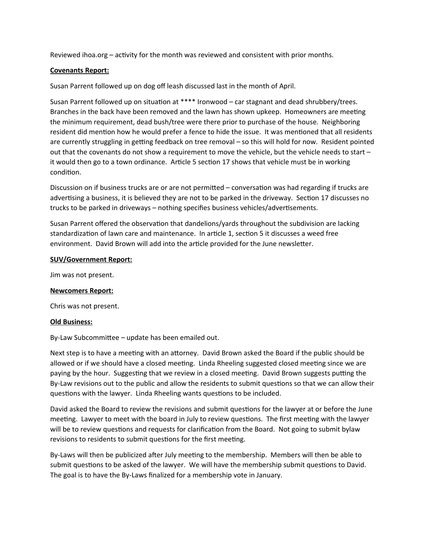Reviewed ihoa.org – activity for the month was reviewed and consistent with prior months.

# **Covenants Report:**

Susan Parrent followed up on dog off leash discussed last in the month of April.

Susan Parrent followed up on situation at \*\*\*\* Ironwood – car stagnant and dead shrubbery/trees. Branches in the back have been removed and the lawn has shown upkeep. Homeowners are meeting the minimum requirement, dead bush/tree were there prior to purchase of the house. Neighboring resident did mention how he would prefer a fence to hide the issue. It was mentioned that all residents are currently struggling in getting feedback on tree removal – so this will hold for now. Resident pointed out that the covenants do not show a requirement to move the vehicle, but the vehicle needs to start – it would then go to a town ordinance. Article 5 section 17 shows that vehicle must be in working condition.

Discussion on if business trucks are or are not permitted – conversation was had regarding if trucks are advertising a business, it is believed they are not to be parked in the driveway. Section 17 discusses no trucks to be parked in driveways – nothing specifies business vehicles/advertisements.

Susan Parrent offered the observation that dandelions/yards throughout the subdivision are lacking standardization of lawn care and maintenance. In article 1, section 5 it discusses a weed free environment. David Brown will add into the article provided for the June newsletter.

#### **SUV/Government Report:**

Jim was not present.

#### **Newcomers Report:**

Chris was not present.

#### **Old Business:**

By-Law Subcommittee – update has been emailed out.

Next step is to have a meeting with an attorney. David Brown asked the Board if the public should be allowed or if we should have a closed meeting. Linda Rheeling suggested closed meeting since we are paying by the hour. Suggesting that we review in a closed meeting. David Brown suggests putting the By-Law revisions out to the public and allow the residents to submit questions so that we can allow their questions with the lawyer. Linda Rheeling wants questions to be included.

David asked the Board to review the revisions and submit questions for the lawyer at or before the June meeting. Lawyer to meet with the board in July to review questions. The first meeting with the lawyer will be to review questions and requests for clarification from the Board. Not going to submit bylaw revisions to residents to submit questions for the first meeting.

By-Laws will then be publicized after July meeting to the membership. Members will then be able to submit questions to be asked of the lawyer. We will have the membership submit questions to David. The goal is to have the By-Laws finalized for a membership vote in January.